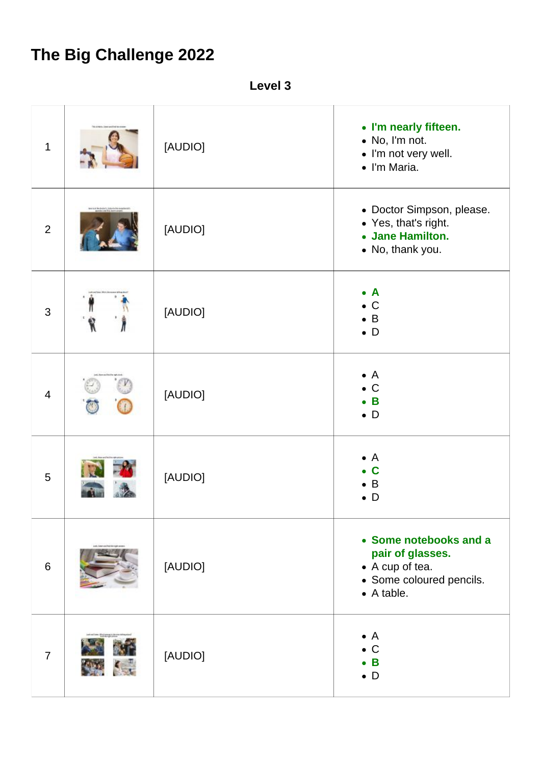## **The Big Challenge 2022**

**Level 3**

| $\mathbf 1$    |    | [AUDIO] | • I'm nearly fifteen.<br>• No, I'm not.<br>• I'm not very well.<br>· I'm Maria.                                 |
|----------------|----|---------|-----------------------------------------------------------------------------------------------------------------|
| $\overline{2}$ |    | [AUDIO] | • Doctor Simpson, please.<br>• Yes, that's right.<br>• Jane Hamilton.<br>• No, thank you.                       |
| 3              | ٢. | [AUDIO] | $\bullet$ A<br>$\bullet$ C<br>$\bullet$ B<br>$\bullet$ D                                                        |
| $\overline{4}$ |    | [AUDIO] | $\bullet$ A<br>$\bullet$ C<br>$\bullet$ B<br>$\bullet$ D                                                        |
| 5              |    | [AUDIO] | $\bullet$ A<br>C<br>$\bullet$ B<br>$\bullet$ D                                                                  |
| 6              |    | [AUDIO] | • Some notebooks and a<br>pair of glasses.<br>• A cup of tea.<br>• Some coloured pencils.<br>$\bullet$ A table. |
| $\overline{7}$ |    | [AUDIO] | $\bullet$ A<br>$\bullet$ C<br>B<br>$\bullet$ D                                                                  |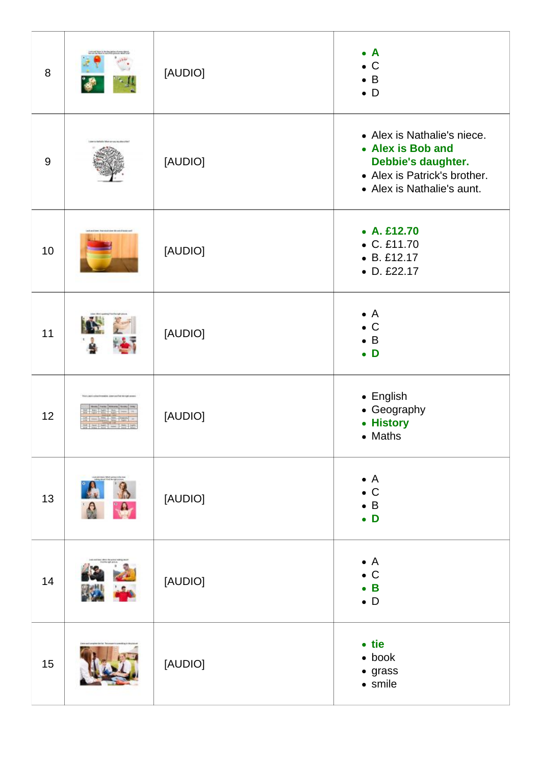| 8   | [AUDIO] | $\bullet$ A<br>$\bullet$ C<br>$\bullet$ B<br>$\bullet$ D                                                                             |
|-----|---------|--------------------------------------------------------------------------------------------------------------------------------------|
| $9$ | [AUDIO] | • Alex is Nathalie's niece.<br>• Alex is Bob and<br>Debbie's daughter.<br>• Alex is Patrick's brother.<br>• Alex is Nathalie's aunt. |
| 10  | [AUDIO] | $\bullet$ A. £12.70<br>$\bullet$ C. £11.70<br>$-B.E12.17$<br>• D. £22.17                                                             |
| 11  | [AUDIO] | $\bullet$ A<br>$\bullet$ C<br>$\bullet$ B<br>$\bullet$ D                                                                             |
| 12  | [AUDIO] | $\bullet$ English<br>• Geography<br>• History<br>• Maths                                                                             |
| 13  | [AUDIO] | $\bullet$ A<br>$\bullet$ C<br>$\bullet$ B<br>$\bullet$ D                                                                             |
| 14  | [AUDIO] | $\bullet$ A<br>$\bullet$ C<br>$\bullet$ B<br>$\bullet$ D                                                                             |
| 15  | [AUDIO] | $\bullet$ tie<br>$\bullet$ book<br>$\bullet$ grass<br>$\bullet$ smile                                                                |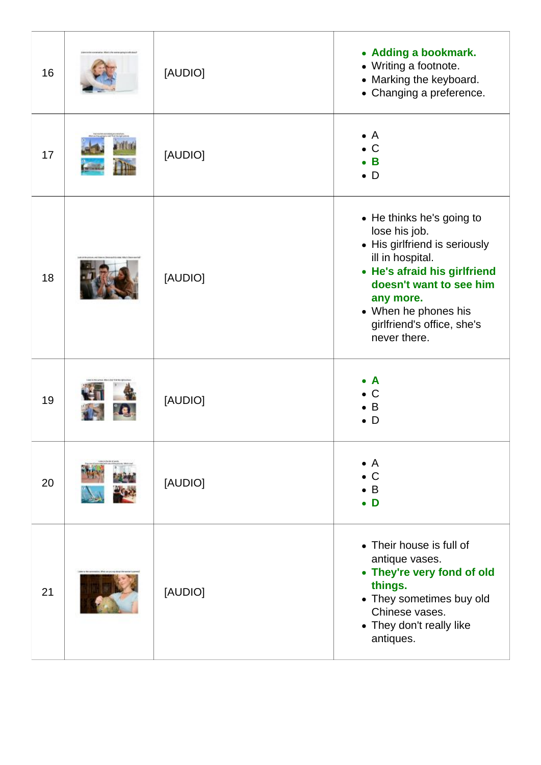| 16 | [AUDIO] | • Adding a bookmark.<br>• Writing a footnote.<br>• Marking the keyboard.<br>• Changing a preference.                                                                                                                                          |
|----|---------|-----------------------------------------------------------------------------------------------------------------------------------------------------------------------------------------------------------------------------------------------|
| 17 | [AUDIO] | $\bullet$ A<br>$\mathsf{C}$<br>B<br>$\bullet$ D                                                                                                                                                                                               |
| 18 | [AUDIO] | • He thinks he's going to<br>lose his job.<br>• His girlfriend is seriously<br>ill in hospital.<br>• He's afraid his girlfriend<br>doesn't want to see him<br>any more.<br>• When he phones his<br>girlfriend's office, she's<br>never there. |
| 19 | [AUDIO] | A<br>$\mathsf C$<br>B<br>D                                                                                                                                                                                                                    |
| 20 | [AUDIO] | $\bullet$ A<br>$\mathsf{C}$<br>$\bullet$ B<br>D                                                                                                                                                                                               |
| 21 | [AUDIO] | • Their house is full of<br>antique vases.<br>• They're very fond of old<br>things.<br>• They sometimes buy old<br>Chinese vases.<br>• They don't really like<br>antiques.                                                                    |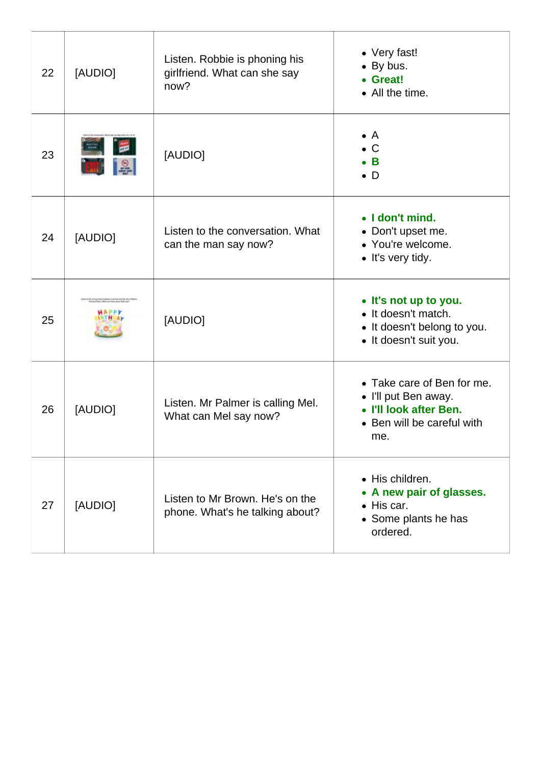| 22 | [AUDIO] | Listen. Robbie is phoning his<br>girlfriend. What can she say<br>now? | • Very fast!<br>• By bus.<br>• Great!<br>• All the time.                                                          |
|----|---------|-----------------------------------------------------------------------|-------------------------------------------------------------------------------------------------------------------|
| 23 |         | [AUDIO]                                                               | $\bullet$ A<br>$\bullet$ C<br>$\bullet$ B<br>$\bullet$ D                                                          |
| 24 | [AUDIO] | Listen to the conversation. What<br>can the man say now?              | • I don't mind.<br>• Don't upset me.<br>• You're welcome.<br>• It's very tidy.                                    |
| 25 |         | [AUDIO]                                                               | • It's not up to you.<br>• It doesn't match.<br>• It doesn't belong to you.<br>• It doesn't suit you.             |
| 26 | [AUDIO] | Listen. Mr Palmer is calling Mel.<br>What can Mel say now?            | • Take care of Ben for me.<br>• I'll put Ben away.<br>• I'll look after Ben.<br>• Ben will be careful with<br>me. |
| 27 | [AUDIO] | Listen to Mr Brown. He's on the<br>phone. What's he talking about?    | • His children.<br>• A new pair of glasses.<br>$\bullet$ His car.<br>• Some plants he has<br>ordered.             |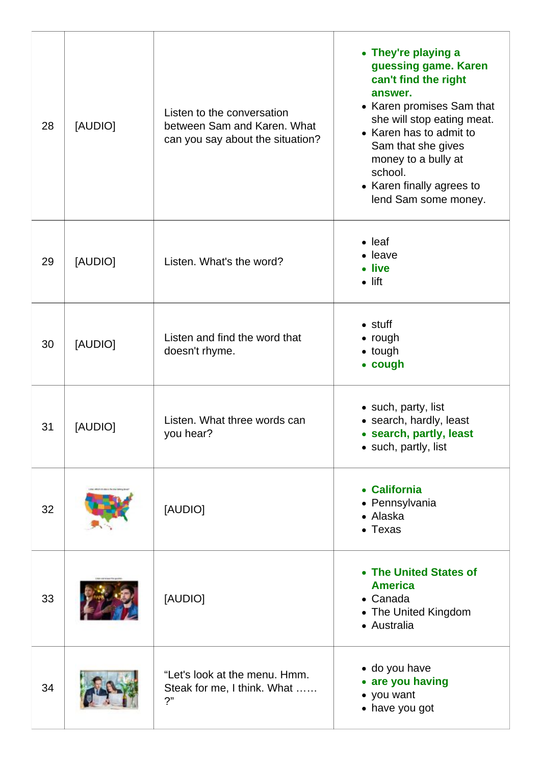| 28 | [AUDIO] | Listen to the conversation<br>between Sam and Karen. What<br>can you say about the situation? | • They're playing a<br>guessing game. Karen<br>can't find the right<br>answer.<br>• Karen promises Sam that<br>she will stop eating meat.<br>• Karen has to admit to<br>Sam that she gives<br>money to a bully at<br>school.<br>• Karen finally agrees to<br>lend Sam some money. |
|----|---------|-----------------------------------------------------------------------------------------------|-----------------------------------------------------------------------------------------------------------------------------------------------------------------------------------------------------------------------------------------------------------------------------------|
| 29 | [AUDIO] | Listen. What's the word?                                                                      | $\bullet$ leaf<br>• leave<br>• live<br>$\bullet$ lift                                                                                                                                                                                                                             |
| 30 | [AUDIO] | Listen and find the word that<br>doesn't rhyme.                                               | $\bullet$ stuff<br>$\bullet$ rough<br>• tough<br>• cough                                                                                                                                                                                                                          |
| 31 | [AUDIO] | Listen. What three words can<br>you hear?                                                     | • such, party, list<br>• search, hardly, least<br>• search, partly, least<br>• such, partly, list                                                                                                                                                                                 |
| 32 |         | [AUDIO]                                                                                       | • California<br>• Pennsylvania<br>• Alaska<br>• Texas                                                                                                                                                                                                                             |
| 33 |         | [AUDIO]                                                                                       | • The United States of<br><b>America</b><br>• Canada<br>• The United Kingdom<br>• Australia                                                                                                                                                                                       |
| 34 |         | "Let's look at the menu. Hmm.<br>Steak for me, I think. What<br>2"                            | • do you have<br>• are you having<br>• you want<br>• have you got                                                                                                                                                                                                                 |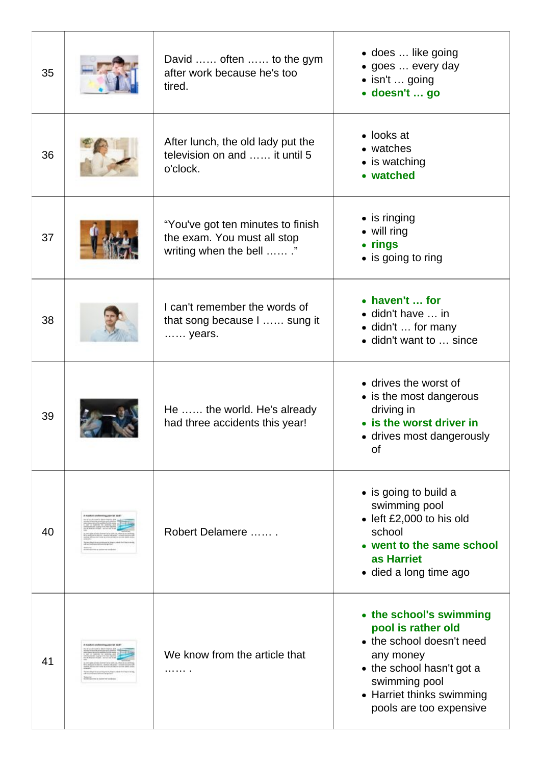| 35 | David  often  to the gym<br>after work because he's too<br>tired.                           | • does  like going<br>• goes  every day<br>· isn't  going<br>• doesn't  go                                                                                                                    |
|----|---------------------------------------------------------------------------------------------|-----------------------------------------------------------------------------------------------------------------------------------------------------------------------------------------------|
| 36 | After lunch, the old lady put the<br>television on and  it until 5<br>o'clock.              | $\bullet$ looks at<br>• watches<br>• is watching<br>• watched                                                                                                                                 |
| 37 | "You've got ten minutes to finish<br>the exam. You must all stop<br>writing when the bell " | $\bullet$ is ringing<br>• will ring<br>• rings<br>• is going to ring                                                                                                                          |
| 38 | I can't remember the words of<br>that song because I  sung it<br>years.                     | • haven't  for<br>• didn't have  in<br>· didn't  for many<br>• didn't want to  since                                                                                                          |
| 39 | He  the world. He's already<br>had three accidents this year!                               | • drives the worst of<br>• is the most dangerous<br>driving in<br>• is the worst driver in<br>• drives most dangerously<br>οf                                                                 |
| 40 | Robert Delamere                                                                             | • is going to build a<br>swimming pool<br>· left £2,000 to his old<br>school<br>• went to the same school<br>as Harriet<br>• died a long time ago                                             |
| 41 | We know from the article that                                                               | • the school's swimming<br>pool is rather old<br>• the school doesn't need<br>any money<br>• the school hasn't got a<br>swimming pool<br>• Harriet thinks swimming<br>pools are too expensive |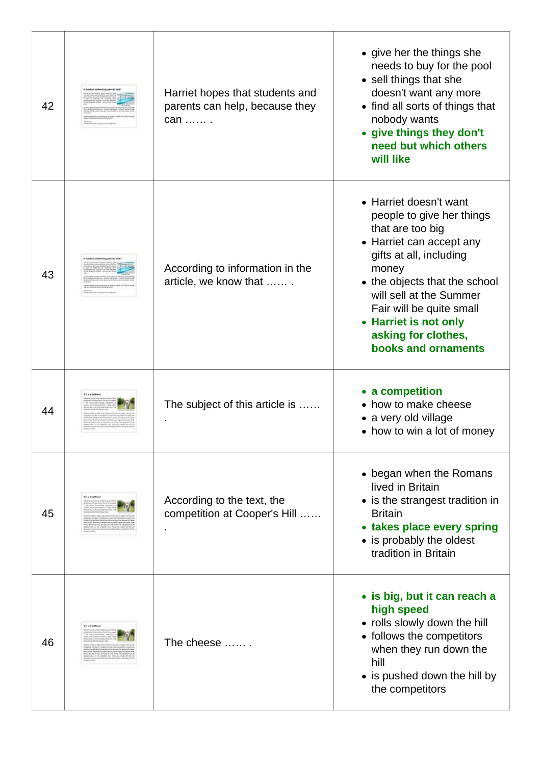| 42 | Harriet hopes that students and<br>parents can help, because they<br>can  . | • give her the things she<br>needs to buy for the pool<br>• sell things that she<br>doesn't want any more<br>• find all sorts of things that<br>nobody wants<br>• give things they don't<br>need but which others<br>will like                                                                         |
|----|-----------------------------------------------------------------------------|--------------------------------------------------------------------------------------------------------------------------------------------------------------------------------------------------------------------------------------------------------------------------------------------------------|
| 43 | According to information in the<br>article, we know that                    | • Harriet doesn't want<br>people to give her things<br>that are too big<br>• Harriet can accept any<br>gifts at all, including<br>money<br>• the objects that the school<br>will sell at the Summer<br>Fair will be quite small<br>• Harriet is not only<br>asking for clothes,<br>books and ornaments |
| 44 | The subject of this article is                                              | • a competition<br>• how to make cheese                                                                                                                                                                                                                                                                |
|    |                                                                             | • a very old village<br>• how to win a lot of money                                                                                                                                                                                                                                                    |
| 45 | According to the text, the<br>competition at Cooper's Hill                  | • began when the Romans<br>lived in Britain<br>• is the strangest tradition in<br><b>Britain</b><br>• takes place every spring<br>• is probably the oldest<br>tradition in Britain                                                                                                                     |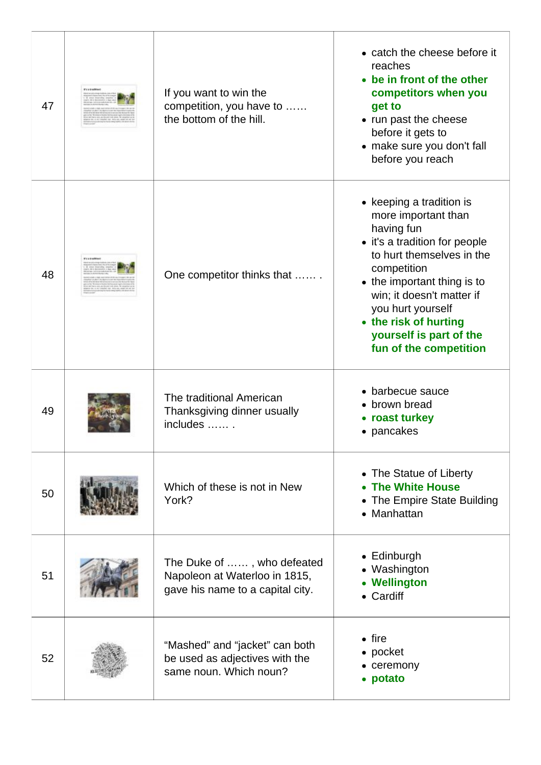| 47 | <b>IT'S Is bracket</b> | If you want to win the<br>competition, you have to<br>the bottom of the hill.                   | • catch the cheese before it<br>reaches<br>• be in front of the other<br>competitors when you<br>get to<br>• run past the cheese<br>before it gets to<br>• make sure you don't fall<br>before you reach                                                                                                   |
|----|------------------------|-------------------------------------------------------------------------------------------------|-----------------------------------------------------------------------------------------------------------------------------------------------------------------------------------------------------------------------------------------------------------------------------------------------------------|
| 48 |                        | One competitor thinks that                                                                      | • keeping a tradition is<br>more important than<br>having fun<br>• it's a tradition for people<br>to hurt themselves in the<br>competition<br>• the important thing is to<br>win; it doesn't matter if<br>you hurt yourself<br>• the risk of hurting<br>yourself is part of the<br>fun of the competition |
| 49 |                        | The traditional American<br>Thanksgiving dinner usually<br>includes  .                          | • barbecue sauce<br>brown bread<br>• roast turkey<br>• pancakes                                                                                                                                                                                                                                           |
| 50 |                        | Which of these is not in New<br>York?                                                           | • The Statue of Liberty<br><b>The White House</b><br>• The Empire State Building<br>• Manhattan                                                                                                                                                                                                           |
| 51 |                        | The Duke of , who defeated<br>Napoleon at Waterloo in 1815,<br>gave his name to a capital city. | $\bullet$ Edinburgh<br>• Washington<br>• Wellington<br>• Cardiff                                                                                                                                                                                                                                          |
| 52 |                        | "Mashed" and "jacket" can both<br>be used as adjectives with the<br>same noun. Which noun?      | $\bullet$ fire<br>• pocket<br>• ceremony<br>potato                                                                                                                                                                                                                                                        |